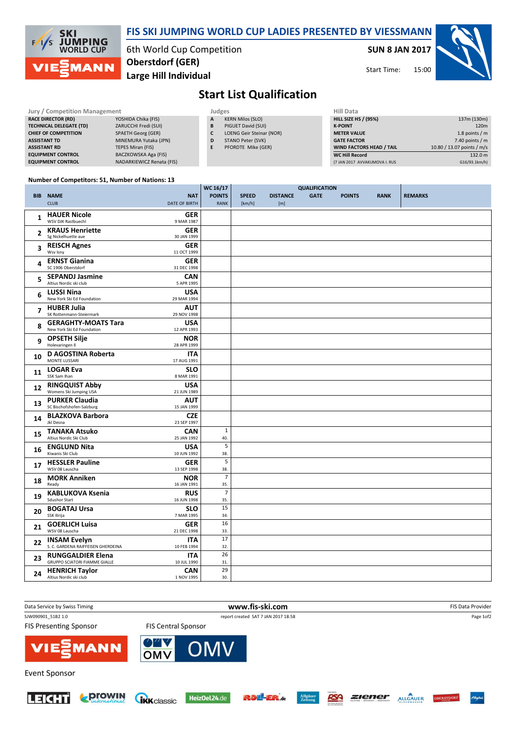

## SUN 8 JAN 2017

15:00 Start Time:



## Start List Qualification

| Jury / Competition Management  |                           |  | Judges | <b>Hill Data</b>         |                    |
|--------------------------------|---------------------------|--|--------|--------------------------|--------------------|
| <b>RACE DIRECTOR (RD)</b>      | YOSHIDA Chika (FIS)       |  | A      | <b>KERN Milos (SLO)</b>  | <b>HILL SIZE H</b> |
| <b>TECHNICAL DELEGATE (TD)</b> | ZARUCCHI Fredi (SUI)      |  | B      | PIGUET David (SUI)       | <b>K-POINT</b>     |
| <b>CHIEF OF COMPETITION</b>    | <b>SPAETH Georg (GER)</b> |  | C      | LOENG Geir Steinar (NOR) | <b>METER VAI</b>   |
| <b>ASSISTANT TD</b>            | MINEMURA Yutaka (JPN)     |  | D      | STANO Peter (SVK)        | <b>GATE FACT</b>   |
| <b>ASSISTANT RD</b>            | TEPES Miran (FIS)         |  | E      | PFORDTE Mike (GER)       | <b>WIND FACT</b>   |
| <b>EQUIPMENT CONTROL</b>       | BACZKOWSKA Aga (FIS)      |  |        |                          | <b>WC Hill Red</b> |
| <b>EQUIPMENT CONTROL</b>       | NADARKIEWICZ Renata (FIS) |  |        |                          | (7 JAN 2017)       |

| Hill Data                       |                            |
|---------------------------------|----------------------------|
| <b>HILL SIZE HS / (95%)</b>     | 137m (130m)                |
| <b>K-POINT</b>                  | 120 <sub>m</sub>           |
| <b>METER VALUE</b>              | 1.8 points $/m$            |
| <b>GATE FACTOR</b>              | 7.40 points $/m$           |
| <b>WIND FACTORS HEAD / TAIL</b> | 10.80 / 13.07 points / m/s |
| <b>WC Hill Record</b>           | 132.0 m                    |
| (7 JAN 2017 AVVAKUMOVA I. RUS   | G16/93.1km/h)              |

## Number of Competitors: 51, Number of Nations: 13

|                |                                                                                 | WC 16/17              |              |                 |                                     |               |             |                |
|----------------|---------------------------------------------------------------------------------|-----------------------|--------------|-----------------|-------------------------------------|---------------|-------------|----------------|
|                | <b>BIB NAME</b><br><b>NAT</b>                                                   | <b>POINTS</b>         | <b>SPEED</b> | <b>DISTANCE</b> | <b>QUALIFICATION</b><br><b>GATE</b> | <b>POINTS</b> | <b>RANK</b> | <b>REMARKS</b> |
|                | <b>DATE OF BIRTH</b><br><b>CLUB</b>                                             | RANK                  | [km/h]       | [m]             |                                     |               |             |                |
|                | <b>HAUER Nicole</b><br><b>GER</b>                                               |                       |              |                 |                                     |               |             |                |
| 1              | WSV DJK Rastbuechl<br>9 MAR 1987                                                |                       |              |                 |                                     |               |             |                |
|                | <b>KRAUS Henriette</b><br><b>GER</b>                                            |                       |              |                 |                                     |               |             |                |
| 2              | Sg Nickelhuette aue<br>30 JAN 1999                                              |                       |              |                 |                                     |               |             |                |
| 3              | <b>REISCH Agnes</b><br><b>GER</b>                                               |                       |              |                 |                                     |               |             |                |
|                | Wsv Isny<br>11 OCT 1999                                                         |                       |              |                 |                                     |               |             |                |
| 4              | <b>ERNST Gianina</b><br><b>GER</b>                                              |                       |              |                 |                                     |               |             |                |
|                | SC 1906 Oberstdorf<br>31 DEC 1998                                               |                       |              |                 |                                     |               |             |                |
| 5              | <b>SEPANDJ Jasmine</b><br><b>CAN</b>                                            |                       |              |                 |                                     |               |             |                |
|                | Altius Nordic ski club<br>5 APR 1995                                            |                       |              |                 |                                     |               |             |                |
| 6              | <b>LUSSI Nina</b><br><b>USA</b><br>New York Ski Ed Foundation<br>29 MAR 1994    |                       |              |                 |                                     |               |             |                |
|                |                                                                                 |                       |              |                 |                                     |               |             |                |
| $\overline{7}$ | <b>HUBER Julia</b><br><b>AUT</b><br>SK Rottenmann-Steiermark<br>29 NOV 1998     |                       |              |                 |                                     |               |             |                |
|                | <b>GERAGHTY-MOATS Tara</b><br><b>USA</b>                                        |                       |              |                 |                                     |               |             |                |
| 8              | New York Ski Ed Foundation<br>12 APR 1993                                       |                       |              |                 |                                     |               |             |                |
|                | <b>OPSETH Silje</b><br><b>NOR</b>                                               |                       |              |                 |                                     |               |             |                |
| 9              | Holevaringen II<br>28 APR 1999                                                  |                       |              |                 |                                     |               |             |                |
| 10             | <b>D AGOSTINA Roberta</b><br><b>ITA</b>                                         |                       |              |                 |                                     |               |             |                |
|                | MONTE LUSSARI<br>17 AUG 1991                                                    |                       |              |                 |                                     |               |             |                |
| 11             | <b>LOGAR Eva</b><br><b>SLO</b>                                                  |                       |              |                 |                                     |               |             |                |
|                | SSK Sam Ihan<br>8 MAR 1991                                                      |                       |              |                 |                                     |               |             |                |
| 12             | <b>RINGQUIST Abby</b><br><b>USA</b>                                             |                       |              |                 |                                     |               |             |                |
|                | Womens Ski Jumping USA<br>21 JUN 1989                                           |                       |              |                 |                                     |               |             |                |
| 13             | <b>PURKER Claudia</b><br><b>AUT</b><br>SC Bischofshofen-Salzburg<br>15 JAN 1999 |                       |              |                 |                                     |               |             |                |
|                | <b>BLAZKOVA Barbora</b><br><b>CZE</b>                                           |                       |              |                 |                                     |               |             |                |
| 14             | Jkl Desna<br>23 SEP 1997                                                        |                       |              |                 |                                     |               |             |                |
|                | <b>TANAKA Atsuko</b><br><b>CAN</b>                                              | $\mathbf{1}$          |              |                 |                                     |               |             |                |
| 15             | Altius Nordic Ski Club<br>25 JAN 1992                                           | 40.                   |              |                 |                                     |               |             |                |
| 16             | <b>ENGLUND Nita</b><br><b>USA</b>                                               | 5                     |              |                 |                                     |               |             |                |
|                | Kiwanis Ski Club<br>10 JUN 1992                                                 | 38.                   |              |                 |                                     |               |             |                |
| 17             | <b>HESSLER Pauline</b><br><b>GER</b>                                            | 5                     |              |                 |                                     |               |             |                |
|                | WSV 08 Lauscha<br>13 SEP 1998                                                   | 38.                   |              |                 |                                     |               |             |                |
| 18             | <b>MORK Anniken</b><br><b>NOR</b>                                               | $\overline{7}$        |              |                 |                                     |               |             |                |
|                | 16 JAN 1991<br>Ready                                                            | 35.<br>$\overline{7}$ |              |                 |                                     |               |             |                |
| 19             | <b>KABLUKOVA Ksenia</b><br><b>RUS</b><br><b>Sdushor Start</b><br>16 JUN 1998    | 35.                   |              |                 |                                     |               |             |                |
|                | <b>BOGATAJ Ursa</b><br><b>SLO</b>                                               | 15                    |              |                 |                                     |               |             |                |
| 20             | SSK Ilirija<br>7 MAR 1995                                                       | 34.                   |              |                 |                                     |               |             |                |
|                | <b>GOERLICH Luisa</b><br><b>GER</b>                                             | 16                    |              |                 |                                     |               |             |                |
| 21             | WSV 08 Lauscha<br>21 DEC 1998                                                   | 33.                   |              |                 |                                     |               |             |                |
|                | <b>INSAM Evelyn</b><br><b>ITA</b>                                               | 17                    |              |                 |                                     |               |             |                |
| 22             | S. C. GARDENA RAIFFEISEN GHERDEINA<br>10 FEB 1994                               | 32.                   |              |                 |                                     |               |             |                |
| 23             | <b>RUNGGALDIER Elena</b><br><b>ITA</b>                                          | 26                    |              |                 |                                     |               |             |                |
|                | <b>GRUPPO SCIATORI FIAMME GIALLE</b><br>10 JUL 1990                             | 31.                   |              |                 |                                     |               |             |                |
| 24             | <b>HENRICH Taylor</b><br><b>CAN</b>                                             | 29                    |              |                 |                                     |               |             |                |
|                | Altius Nordic ski club<br>1 NOV 1995                                            | 30.                   |              |                 |                                     |               |             |                |











RSA

ALLGAUER OBERS